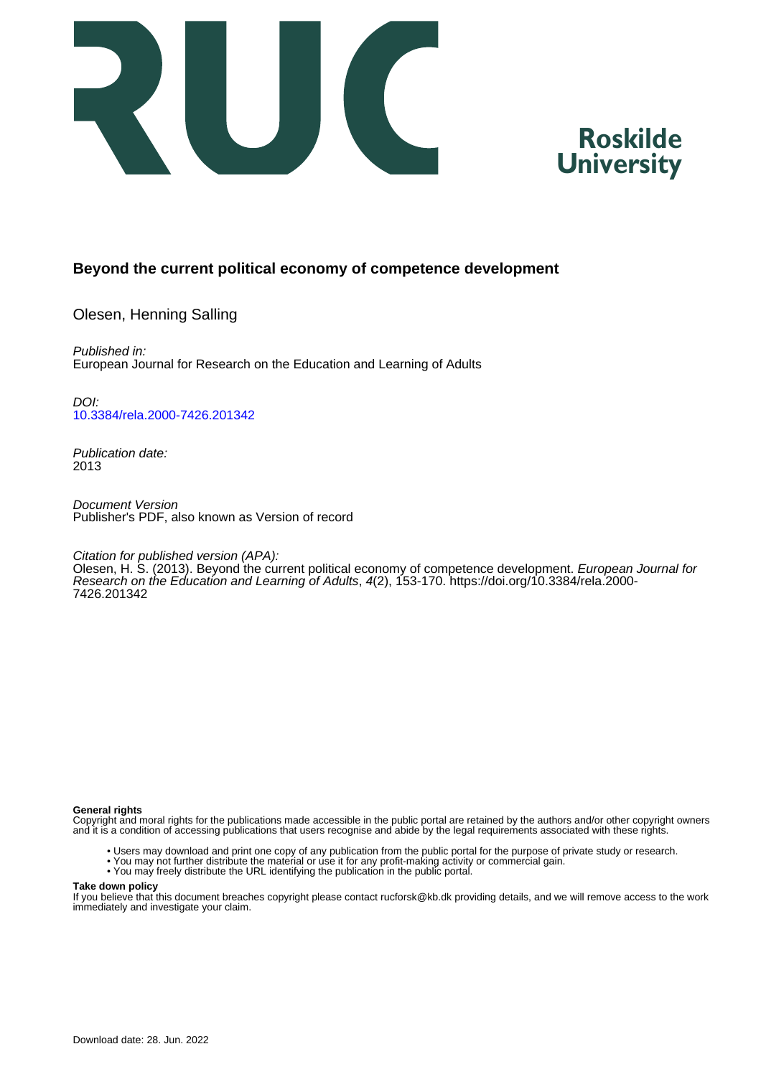



## **Beyond the current political economy of competence development**

Olesen, Henning Salling

Published in: European Journal for Research on the Education and Learning of Adults

DOI: [10.3384/rela.2000-7426.201342](https://doi.org/10.3384/rela.2000-7426.201342)

Publication date: 2013

Document Version Publisher's PDF, also known as Version of record

Citation for published version (APA):

Olesen, H. S. (2013). Beyond the current political economy of competence development. European Journal for Research on the Education and Learning of Adults, 4(2), 153-170. [https://doi.org/10.3384/rela.2000-](https://doi.org/10.3384/rela.2000-7426.201342) [7426.201342](https://doi.org/10.3384/rela.2000-7426.201342)

#### **General rights**

Copyright and moral rights for the publications made accessible in the public portal are retained by the authors and/or other copyright owners and it is a condition of accessing publications that users recognise and abide by the legal requirements associated with these rights.

- Users may download and print one copy of any publication from the public portal for the purpose of private study or research.
- You may not further distribute the material or use it for any profit-making activity or commercial gain.
- You may freely distribute the URL identifying the publication in the public portal.

#### **Take down policy**

If you believe that this document breaches copyright please contact rucforsk@kb.dk providing details, and we will remove access to the work immediately and investigate your claim.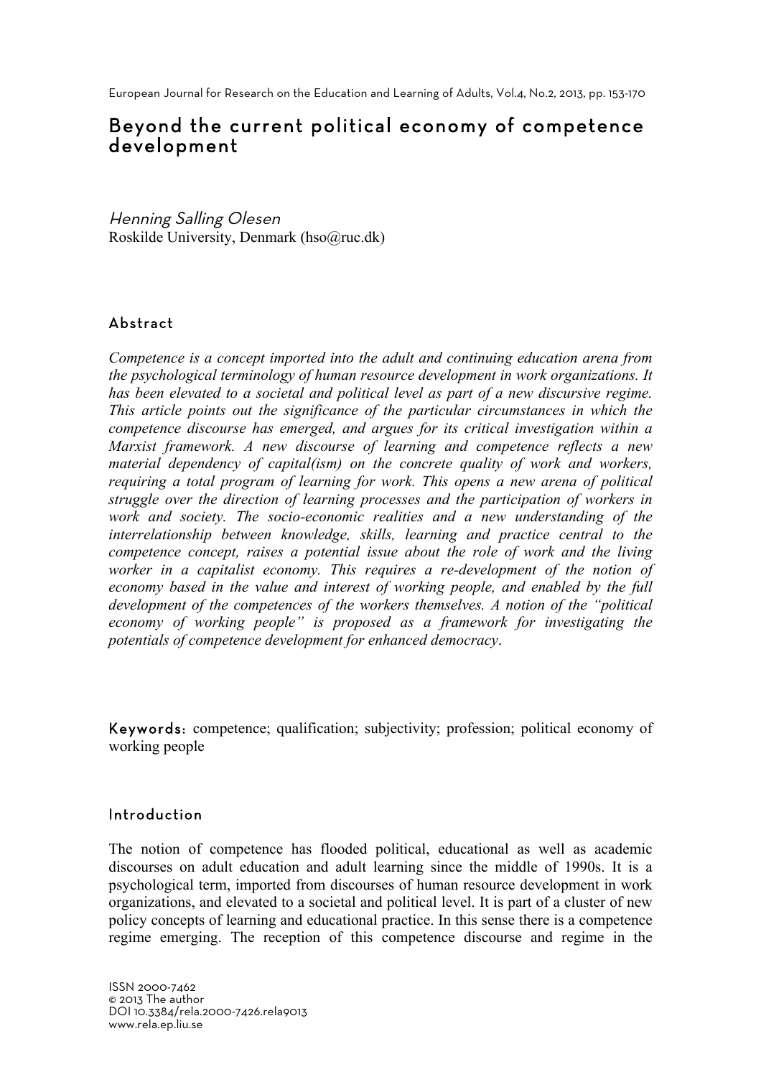European Journal for Research on the Education and Learning of Adults, Vol.4, No.2, 2013, pp. 153-170

# Beyond the current political economy of competence development

Henning Salling Olesen Roskilde University, Denmark (hso@ruc.dk)

# Abstract

*Competence is a concept imported into the adult and continuing education arena from the psychological terminology of human resource development in work organizations. It*  has been elevated to a societal and political level as part of a new discursive regime. *This article points out the significance of the particular circumstances in which the competence discourse has emerged, and argues for its critical investigation within a Marxist framework. A new discourse of learning and competence reflects a new material dependency of capital(ism) on the concrete quality of work and workers, requiring a total program of learning for work. This opens a new arena of political struggle over the direction of learning processes and the participation of workers in work and society. The socio-economic realities and a new understanding of the interrelationship between knowledge, skills, learning and practice central to the competence concept, raises a potential issue about the role of work and the living*  worker in a capitalist economy. This requires a re-development of the notion of *economy based in the value and interest of working people, and enabled by the full development of the competences of the workers themselves. A notion of the "political economy of working people" is proposed as a framework for investigating the potentials of competence development for enhanced democracy*.

Keywords: competence; qualification; subjectivity; profession; political economy of working people

## Introduction

The notion of competence has flooded political, educational as well as academic discourses on adult education and adult learning since the middle of 1990s. It is a psychological term, imported from discourses of human resource development in work organizations, and elevated to a societal and political level. It is part of a cluster of new policy concepts of learning and educational practice. In this sense there is a competence regime emerging. The reception of this competence discourse and regime in the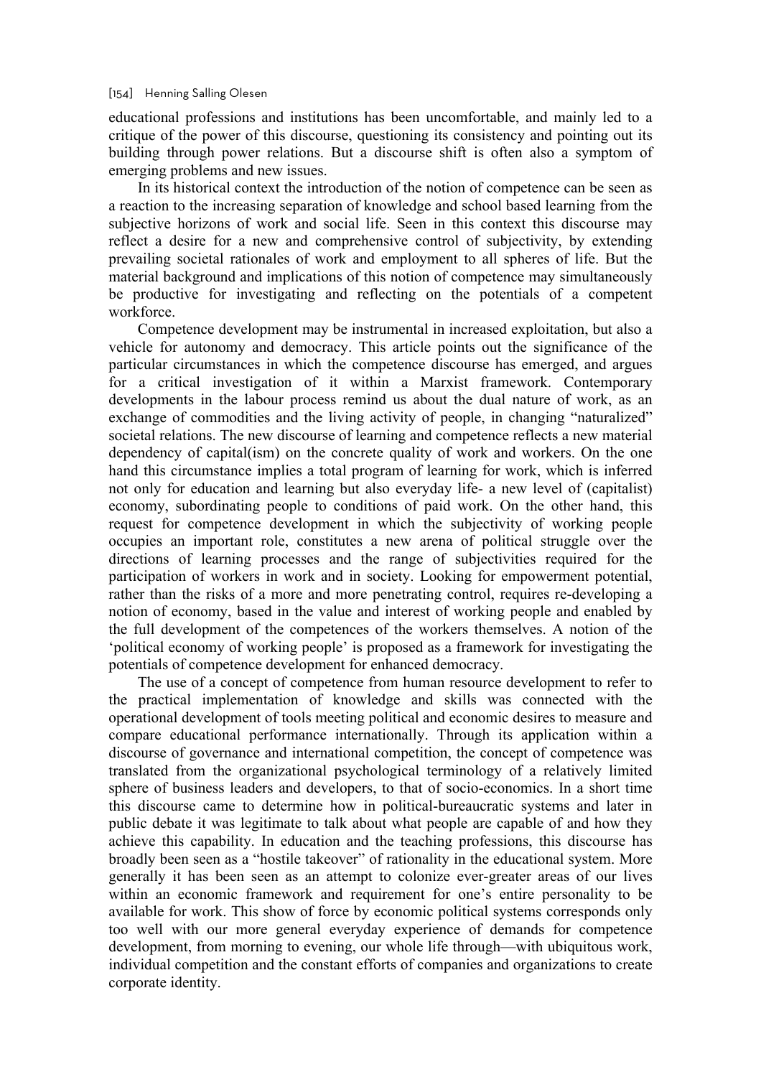#### [154] Henning Salling Olesen

educational professions and institutions has been uncomfortable, and mainly led to a critique of the power of this discourse, questioning its consistency and pointing out its building through power relations. But a discourse shift is often also a symptom of emerging problems and new issues.

In its historical context the introduction of the notion of competence can be seen as a reaction to the increasing separation of knowledge and school based learning from the subjective horizons of work and social life. Seen in this context this discourse may reflect a desire for a new and comprehensive control of subjectivity, by extending prevailing societal rationales of work and employment to all spheres of life. But the material background and implications of this notion of competence may simultaneously be productive for investigating and reflecting on the potentials of a competent workforce.

Competence development may be instrumental in increased exploitation, but also a vehicle for autonomy and democracy. This article points out the significance of the particular circumstances in which the competence discourse has emerged, and argues for a critical investigation of it within a Marxist framework. Contemporary developments in the labour process remind us about the dual nature of work, as an exchange of commodities and the living activity of people, in changing "naturalized" societal relations. The new discourse of learning and competence reflects a new material dependency of capital(ism) on the concrete quality of work and workers. On the one hand this circumstance implies a total program of learning for work, which is inferred not only for education and learning but also everyday life- a new level of (capitalist) economy, subordinating people to conditions of paid work. On the other hand, this request for competence development in which the subjectivity of working people occupies an important role, constitutes a new arena of political struggle over the directions of learning processes and the range of subjectivities required for the participation of workers in work and in society. Looking for empowerment potential, rather than the risks of a more and more penetrating control, requires re-developing a notion of economy, based in the value and interest of working people and enabled by the full development of the competences of the workers themselves. A notion of the 'political economy of working people' is proposed as a framework for investigating the potentials of competence development for enhanced democracy.

The use of a concept of competence from human resource development to refer to the practical implementation of knowledge and skills was connected with the operational development of tools meeting political and economic desires to measure and compare educational performance internationally. Through its application within a discourse of governance and international competition, the concept of competence was translated from the organizational psychological terminology of a relatively limited sphere of business leaders and developers, to that of socio-economics. In a short time this discourse came to determine how in political-bureaucratic systems and later in public debate it was legitimate to talk about what people are capable of and how they achieve this capability. In education and the teaching professions, this discourse has broadly been seen as a "hostile takeover" of rationality in the educational system. More generally it has been seen as an attempt to colonize ever-greater areas of our lives within an economic framework and requirement for one's entire personality to be available for work. This show of force by economic political systems corresponds only too well with our more general everyday experience of demands for competence development, from morning to evening, our whole life through—with ubiquitous work, individual competition and the constant efforts of companies and organizations to create corporate identity.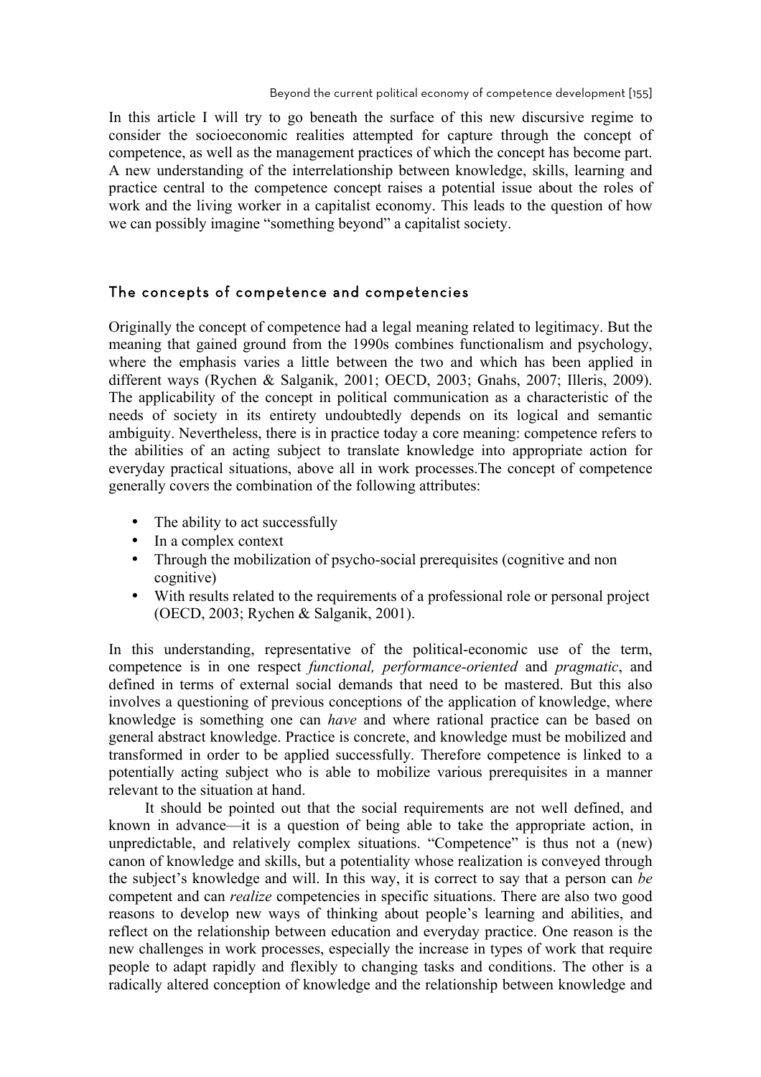In this article I will try to go beneath the surface of this new discursive regime to consider the socioeconomic realities attempted for capture through the concept of competence, as well as the management practices of which the concept has become part. A new understanding of the interrelationship between knowledge, skills, learning and practice central to the competence concept raises a potential issue about the roles of work and the living worker in a capitalist economy. This leads to the question of how we can possibly imagine "something beyond" a capitalist society.

### The concepts of competence and competencies

Originally the concept of competence had a legal meaning related to legitimacy. But the meaning that gained ground from the 1990s combines functionalism and psychology, where the emphasis varies a little between the two and which has been applied in different ways (Rychen & Salganik, 2001; OECD, 2003; Gnahs, 2007; Illeris, 2009). The applicability of the concept in political communication as a characteristic of the needs of society in its entirety undoubtedly depends on its logical and semantic ambiguity. Nevertheless, there is in practice today a core meaning: competence refers to the abilities of an acting subject to translate knowledge into appropriate action for everyday practical situations, above all in work processes.The concept of competence generally covers the combination of the following attributes:

- The ability to act successfully
- In a complex context
- Through the mobilization of psycho-social prerequisites (cognitive and non cognitive)
- With results related to the requirements of a professional role or personal project (OECD, 2003; Rychen & Salganik, 2001).

In this understanding, representative of the political-economic use of the term, competence is in one respect *functional, performance-oriented* and *pragmatic*, and defined in terms of external social demands that need to be mastered. But this also involves a questioning of previous conceptions of the application of knowledge, where knowledge is something one can *have* and where rational practice can be based on general abstract knowledge. Practice is concrete, and knowledge must be mobilized and transformed in order to be applied successfully. Therefore competence is linked to a potentially acting subject who is able to mobilize various prerequisites in a manner relevant to the situation at hand.

It should be pointed out that the social requirements are not well defined, and known in advance—it is a question of being able to take the appropriate action, in unpredictable, and relatively complex situations. "Competence" is thus not a (new) canon of knowledge and skills, but a potentiality whose realization is conveyed through the subject's knowledge and will. In this way, it is correct to say that a person can *be* competent and can *realize* competencies in specific situations. There are also two good reasons to develop new ways of thinking about people's learning and abilities, and reflect on the relationship between education and everyday practice. One reason is the new challenges in work processes, especially the increase in types of work that require people to adapt rapidly and flexibly to changing tasks and conditions. The other is a radically altered conception of knowledge and the relationship between knowledge and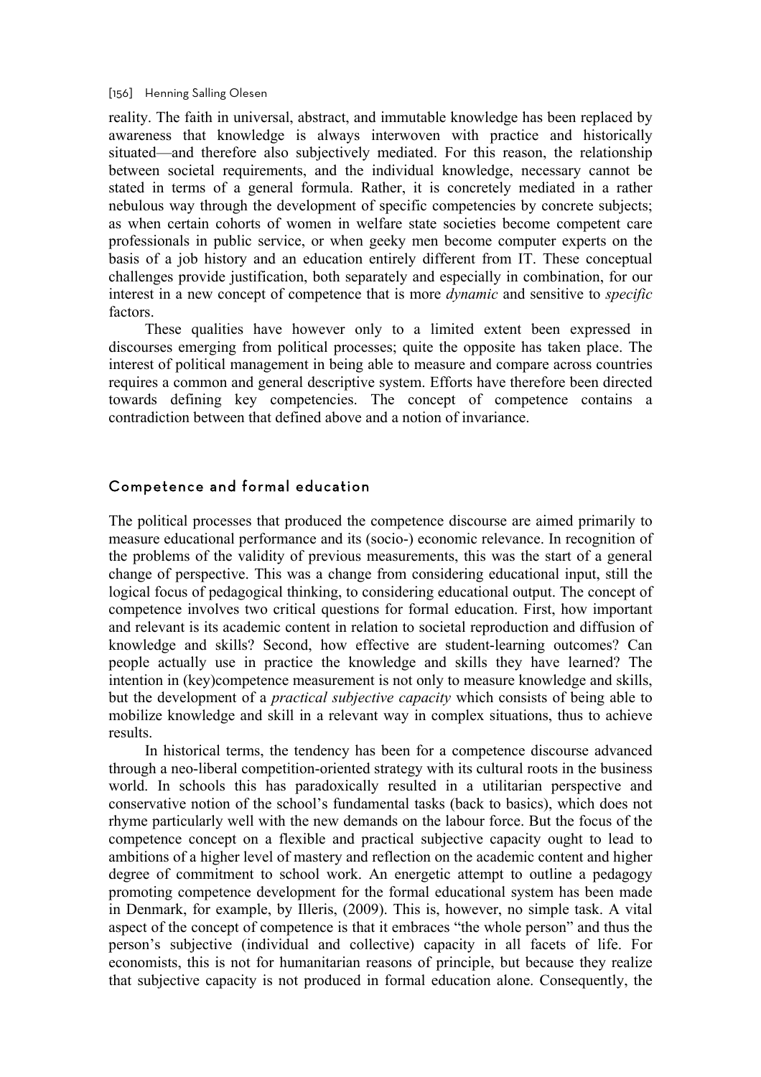#### [156] Henning Salling Olesen

reality. The faith in universal, abstract, and immutable knowledge has been replaced by awareness that knowledge is always interwoven with practice and historically situated—and therefore also subjectively mediated. For this reason, the relationship between societal requirements, and the individual knowledge, necessary cannot be stated in terms of a general formula. Rather, it is concretely mediated in a rather nebulous way through the development of specific competencies by concrete subjects; as when certain cohorts of women in welfare state societies become competent care professionals in public service, or when geeky men become computer experts on the basis of a job history and an education entirely different from IT. These conceptual challenges provide justification, both separately and especially in combination, for our interest in a new concept of competence that is more *dynamic* and sensitive to *specific* **factors** 

These qualities have however only to a limited extent been expressed in discourses emerging from political processes; quite the opposite has taken place. The interest of political management in being able to measure and compare across countries requires a common and general descriptive system. Efforts have therefore been directed towards defining key competencies. The concept of competence contains a contradiction between that defined above and a notion of invariance.

### Competence and formal education

The political processes that produced the competence discourse are aimed primarily to measure educational performance and its (socio-) economic relevance. In recognition of the problems of the validity of previous measurements, this was the start of a general change of perspective. This was a change from considering educational input, still the logical focus of pedagogical thinking, to considering educational output. The concept of competence involves two critical questions for formal education. First, how important and relevant is its academic content in relation to societal reproduction and diffusion of knowledge and skills? Second, how effective are student-learning outcomes? Can people actually use in practice the knowledge and skills they have learned? The intention in (key)competence measurement is not only to measure knowledge and skills, but the development of a *practical subjective capacity* which consists of being able to mobilize knowledge and skill in a relevant way in complex situations, thus to achieve results.

In historical terms, the tendency has been for a competence discourse advanced through a neo-liberal competition-oriented strategy with its cultural roots in the business world. In schools this has paradoxically resulted in a utilitarian perspective and conservative notion of the school's fundamental tasks (back to basics), which does not rhyme particularly well with the new demands on the labour force. But the focus of the competence concept on a flexible and practical subjective capacity ought to lead to ambitions of a higher level of mastery and reflection on the academic content and higher degree of commitment to school work. An energetic attempt to outline a pedagogy promoting competence development for the formal educational system has been made in Denmark, for example, by Illeris, (2009). This is, however, no simple task. A vital aspect of the concept of competence is that it embraces "the whole person" and thus the person's subjective (individual and collective) capacity in all facets of life. For economists, this is not for humanitarian reasons of principle, but because they realize that subjective capacity is not produced in formal education alone. Consequently, the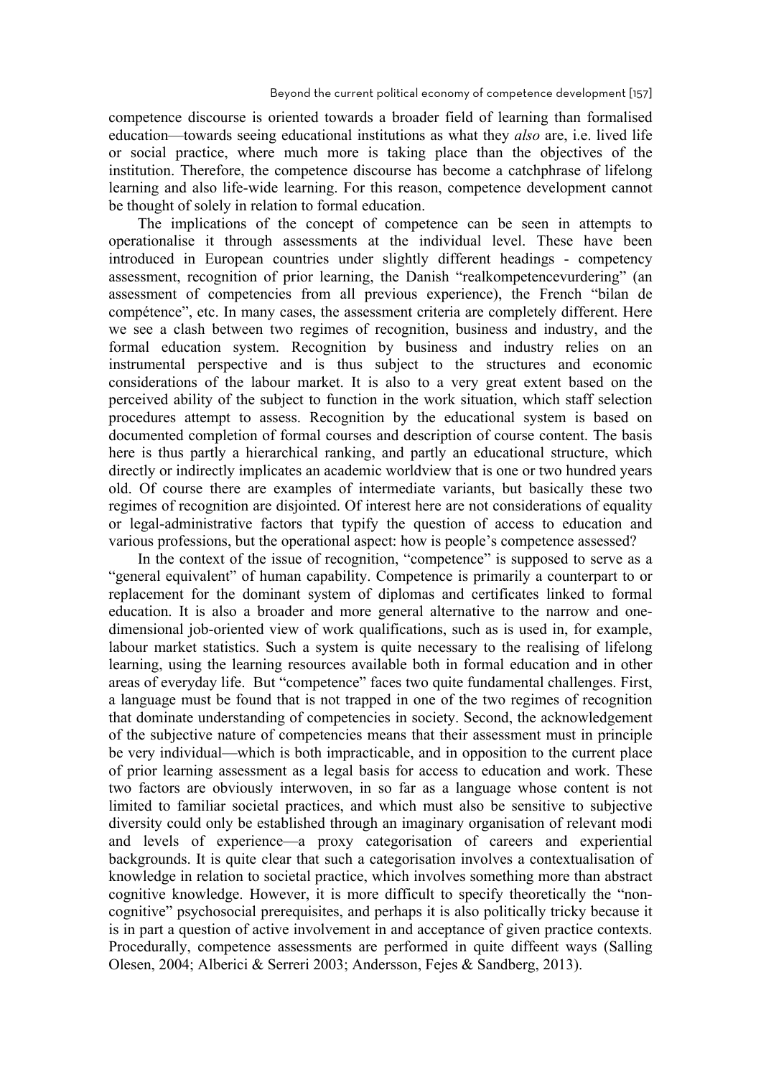competence discourse is oriented towards a broader field of learning than formalised education—towards seeing educational institutions as what they *also* are, i.e. lived life or social practice, where much more is taking place than the objectives of the institution. Therefore, the competence discourse has become a catchphrase of lifelong learning and also life-wide learning. For this reason, competence development cannot be thought of solely in relation to formal education.

The implications of the concept of competence can be seen in attempts to operationalise it through assessments at the individual level. These have been introduced in European countries under slightly different headings - competency assessment, recognition of prior learning, the Danish "realkompetencevurdering" (an assessment of competencies from all previous experience), the French "bilan de compétence", etc. In many cases, the assessment criteria are completely different. Here we see a clash between two regimes of recognition, business and industry, and the formal education system. Recognition by business and industry relies on an instrumental perspective and is thus subject to the structures and economic considerations of the labour market. It is also to a very great extent based on the perceived ability of the subject to function in the work situation, which staff selection procedures attempt to assess. Recognition by the educational system is based on documented completion of formal courses and description of course content. The basis here is thus partly a hierarchical ranking, and partly an educational structure, which directly or indirectly implicates an academic worldview that is one or two hundred years old. Of course there are examples of intermediate variants, but basically these two regimes of recognition are disjointed. Of interest here are not considerations of equality or legal-administrative factors that typify the question of access to education and various professions, but the operational aspect: how is people's competence assessed?

In the context of the issue of recognition, "competence" is supposed to serve as a "general equivalent" of human capability. Competence is primarily a counterpart to or replacement for the dominant system of diplomas and certificates linked to formal education. It is also a broader and more general alternative to the narrow and onedimensional job-oriented view of work qualifications, such as is used in, for example, labour market statistics. Such a system is quite necessary to the realising of lifelong learning, using the learning resources available both in formal education and in other areas of everyday life. But "competence" faces two quite fundamental challenges. First, a language must be found that is not trapped in one of the two regimes of recognition that dominate understanding of competencies in society. Second, the acknowledgement of the subjective nature of competencies means that their assessment must in principle be very individual—which is both impracticable, and in opposition to the current place of prior learning assessment as a legal basis for access to education and work. These two factors are obviously interwoven, in so far as a language whose content is not limited to familiar societal practices, and which must also be sensitive to subjective diversity could only be established through an imaginary organisation of relevant modi and levels of experience—a proxy categorisation of careers and experiential backgrounds. It is quite clear that such a categorisation involves a contextualisation of knowledge in relation to societal practice, which involves something more than abstract cognitive knowledge. However, it is more difficult to specify theoretically the "noncognitive" psychosocial prerequisites, and perhaps it is also politically tricky because it is in part a question of active involvement in and acceptance of given practice contexts. Procedurally, competence assessments are performed in quite diffeent ways (Salling Olesen, 2004; Alberici & Serreri 2003; Andersson, Fejes & Sandberg, 2013).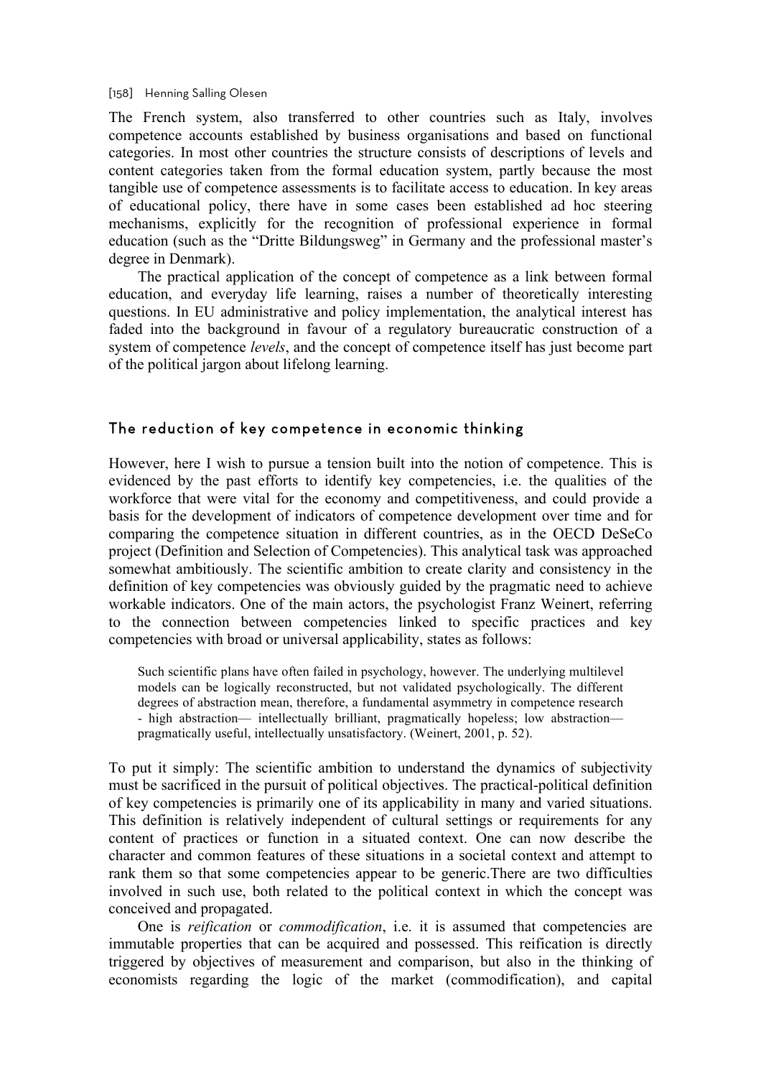[158] Henning Salling Olesen

The French system, also transferred to other countries such as Italy, involves competence accounts established by business organisations and based on functional categories. In most other countries the structure consists of descriptions of levels and content categories taken from the formal education system, partly because the most tangible use of competence assessments is to facilitate access to education. In key areas of educational policy, there have in some cases been established ad hoc steering mechanisms, explicitly for the recognition of professional experience in formal education (such as the "Dritte Bildungsweg" in Germany and the professional master's degree in Denmark).

The practical application of the concept of competence as a link between formal education, and everyday life learning, raises a number of theoretically interesting questions. In EU administrative and policy implementation, the analytical interest has faded into the background in favour of a regulatory bureaucratic construction of a system of competence *levels*, and the concept of competence itself has just become part of the political jargon about lifelong learning.

### The reduction of key competence in economic thinking

However, here I wish to pursue a tension built into the notion of competence. This is evidenced by the past efforts to identify key competencies, i.e. the qualities of the workforce that were vital for the economy and competitiveness, and could provide a basis for the development of indicators of competence development over time and for comparing the competence situation in different countries, as in the OECD DeSeCo project (Definition and Selection of Competencies). This analytical task was approached somewhat ambitiously. The scientific ambition to create clarity and consistency in the definition of key competencies was obviously guided by the pragmatic need to achieve workable indicators. One of the main actors, the psychologist Franz Weinert, referring to the connection between competencies linked to specific practices and key competencies with broad or universal applicability, states as follows:

Such scientific plans have often failed in psychology, however. The underlying multilevel models can be logically reconstructed, but not validated psychologically. The different degrees of abstraction mean, therefore, a fundamental asymmetry in competence research - high abstraction— intellectually brilliant, pragmatically hopeless; low abstraction pragmatically useful, intellectually unsatisfactory. (Weinert, 2001, p. 52).

To put it simply: The scientific ambition to understand the dynamics of subjectivity must be sacrificed in the pursuit of political objectives. The practical-political definition of key competencies is primarily one of its applicability in many and varied situations. This definition is relatively independent of cultural settings or requirements for any content of practices or function in a situated context. One can now describe the character and common features of these situations in a societal context and attempt to rank them so that some competencies appear to be generic.There are two difficulties involved in such use, both related to the political context in which the concept was conceived and propagated.

One is *reification* or *commodification*, i.e. it is assumed that competencies are immutable properties that can be acquired and possessed. This reification is directly triggered by objectives of measurement and comparison, but also in the thinking of economists regarding the logic of the market (commodification), and capital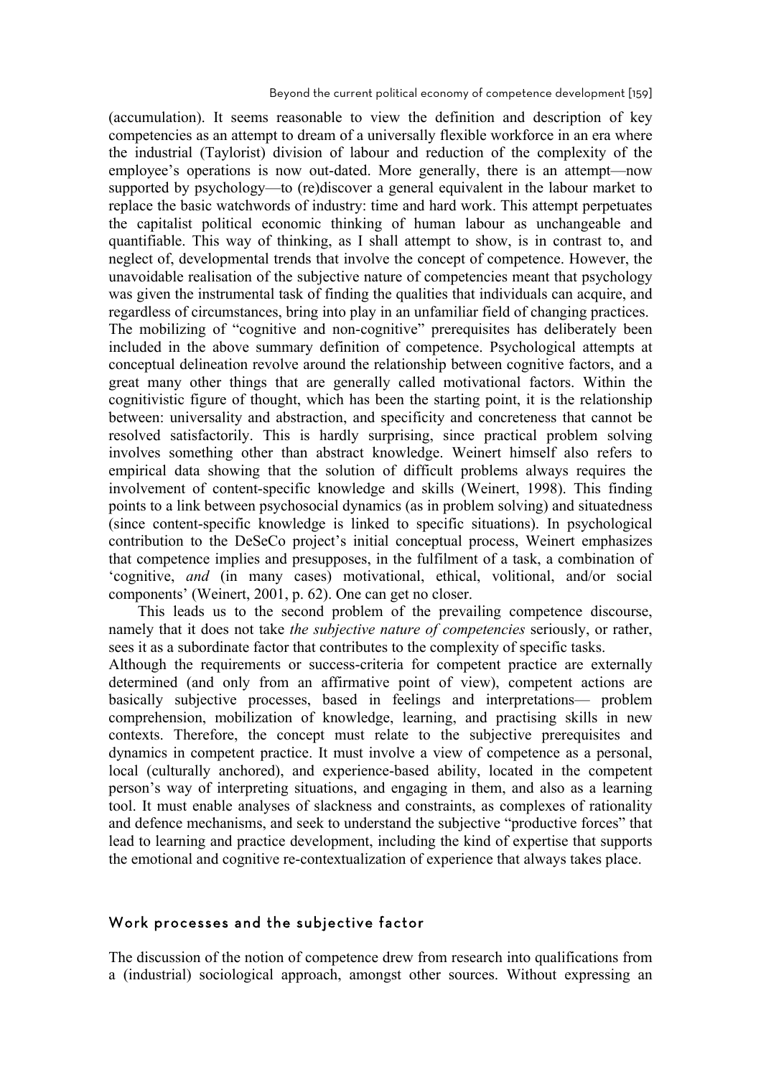(accumulation). It seems reasonable to view the definition and description of key competencies as an attempt to dream of a universally flexible workforce in an era where the industrial (Taylorist) division of labour and reduction of the complexity of the employee's operations is now out-dated. More generally, there is an attempt—now supported by psychology—to (re)discover a general equivalent in the labour market to replace the basic watchwords of industry: time and hard work. This attempt perpetuates the capitalist political economic thinking of human labour as unchangeable and quantifiable. This way of thinking, as I shall attempt to show, is in contrast to, and neglect of, developmental trends that involve the concept of competence. However, the unavoidable realisation of the subjective nature of competencies meant that psychology was given the instrumental task of finding the qualities that individuals can acquire, and regardless of circumstances, bring into play in an unfamiliar field of changing practices. The mobilizing of "cognitive and non-cognitive" prerequisites has deliberately been included in the above summary definition of competence. Psychological attempts at conceptual delineation revolve around the relationship between cognitive factors, and a great many other things that are generally called motivational factors. Within the cognitivistic figure of thought, which has been the starting point, it is the relationship between: universality and abstraction, and specificity and concreteness that cannot be resolved satisfactorily. This is hardly surprising, since practical problem solving involves something other than abstract knowledge. Weinert himself also refers to empirical data showing that the solution of difficult problems always requires the involvement of content-specific knowledge and skills (Weinert, 1998). This finding points to a link between psychosocial dynamics (as in problem solving) and situatedness (since content-specific knowledge is linked to specific situations). In psychological contribution to the DeSeCo project's initial conceptual process, Weinert emphasizes that competence implies and presupposes, in the fulfilment of a task, a combination of 'cognitive, *and* (in many cases) motivational, ethical, volitional, and/or social components' (Weinert, 2001, p. 62). One can get no closer.

This leads us to the second problem of the prevailing competence discourse, namely that it does not take *the subjective nature of competencies* seriously, or rather, sees it as a subordinate factor that contributes to the complexity of specific tasks.

Although the requirements or success-criteria for competent practice are externally determined (and only from an affirmative point of view), competent actions are basically subjective processes, based in feelings and interpretations— problem comprehension, mobilization of knowledge, learning, and practising skills in new contexts. Therefore, the concept must relate to the subjective prerequisites and dynamics in competent practice. It must involve a view of competence as a personal, local (culturally anchored), and experience-based ability, located in the competent person's way of interpreting situations, and engaging in them, and also as a learning tool. It must enable analyses of slackness and constraints, as complexes of rationality and defence mechanisms, and seek to understand the subjective "productive forces" that lead to learning and practice development, including the kind of expertise that supports the emotional and cognitive re-contextualization of experience that always takes place.

### Work processes and the subjective factor

The discussion of the notion of competence drew from research into qualifications from a (industrial) sociological approach, amongst other sources. Without expressing an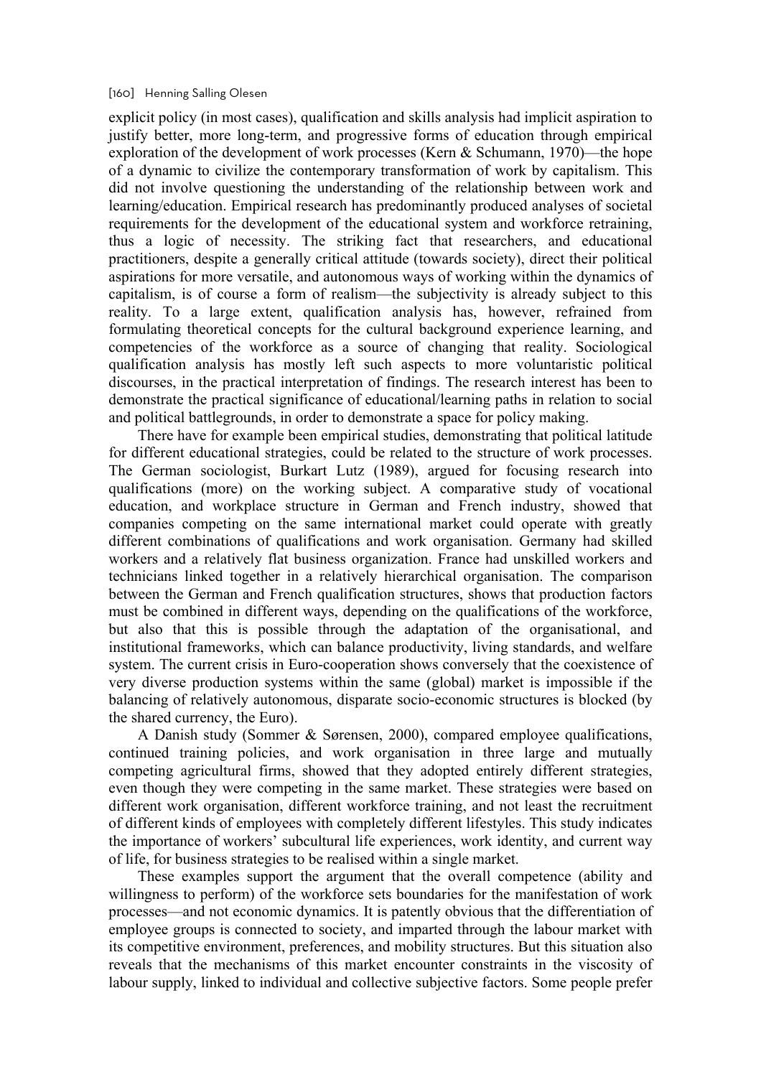#### [160] Henning Salling Olesen

explicit policy (in most cases), qualification and skills analysis had implicit aspiration to justify better, more long-term, and progressive forms of education through empirical exploration of the development of work processes (Kern & Schumann, 1970)—the hope of a dynamic to civilize the contemporary transformation of work by capitalism. This did not involve questioning the understanding of the relationship between work and learning/education. Empirical research has predominantly produced analyses of societal requirements for the development of the educational system and workforce retraining, thus a logic of necessity. The striking fact that researchers, and educational practitioners, despite a generally critical attitude (towards society), direct their political aspirations for more versatile, and autonomous ways of working within the dynamics of capitalism, is of course a form of realism—the subjectivity is already subject to this reality. To a large extent, qualification analysis has, however, refrained from formulating theoretical concepts for the cultural background experience learning, and competencies of the workforce as a source of changing that reality. Sociological qualification analysis has mostly left such aspects to more voluntaristic political discourses, in the practical interpretation of findings. The research interest has been to demonstrate the practical significance of educational/learning paths in relation to social and political battlegrounds, in order to demonstrate a space for policy making.

There have for example been empirical studies, demonstrating that political latitude for different educational strategies, could be related to the structure of work processes. The German sociologist, Burkart Lutz (1989), argued for focusing research into qualifications (more) on the working subject. A comparative study of vocational education, and workplace structure in German and French industry, showed that companies competing on the same international market could operate with greatly different combinations of qualifications and work organisation. Germany had skilled workers and a relatively flat business organization. France had unskilled workers and technicians linked together in a relatively hierarchical organisation. The comparison between the German and French qualification structures, shows that production factors must be combined in different ways, depending on the qualifications of the workforce, but also that this is possible through the adaptation of the organisational, and institutional frameworks, which can balance productivity, living standards, and welfare system. The current crisis in Euro-cooperation shows conversely that the coexistence of very diverse production systems within the same (global) market is impossible if the balancing of relatively autonomous, disparate socio-economic structures is blocked (by the shared currency, the Euro).

A Danish study (Sommer & Sørensen, 2000), compared employee qualifications, continued training policies, and work organisation in three large and mutually competing agricultural firms, showed that they adopted entirely different strategies, even though they were competing in the same market. These strategies were based on different work organisation, different workforce training, and not least the recruitment of different kinds of employees with completely different lifestyles. This study indicates the importance of workers' subcultural life experiences, work identity, and current way of life, for business strategies to be realised within a single market.

These examples support the argument that the overall competence (ability and willingness to perform) of the workforce sets boundaries for the manifestation of work processes—and not economic dynamics. It is patently obvious that the differentiation of employee groups is connected to society, and imparted through the labour market with its competitive environment, preferences, and mobility structures. But this situation also reveals that the mechanisms of this market encounter constraints in the viscosity of labour supply, linked to individual and collective subjective factors. Some people prefer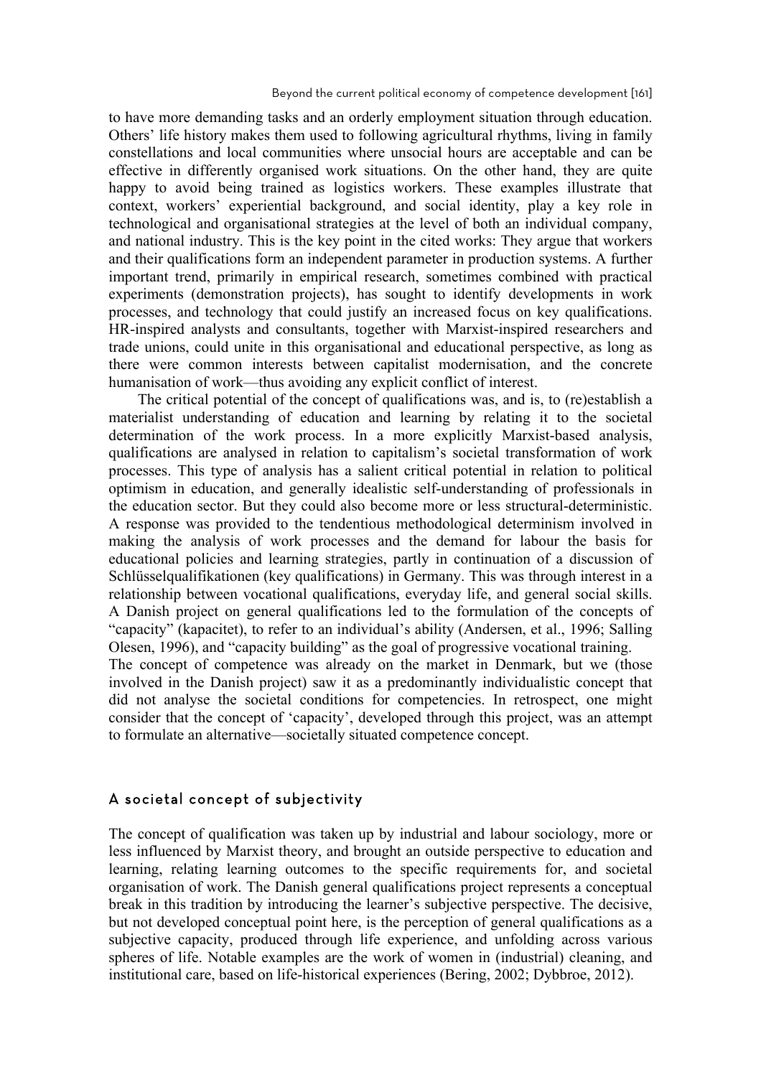to have more demanding tasks and an orderly employment situation through education. Others' life history makes them used to following agricultural rhythms, living in family constellations and local communities where unsocial hours are acceptable and can be effective in differently organised work situations. On the other hand, they are quite happy to avoid being trained as logistics workers. These examples illustrate that context, workers' experiential background, and social identity, play a key role in technological and organisational strategies at the level of both an individual company, and national industry. This is the key point in the cited works: They argue that workers and their qualifications form an independent parameter in production systems. A further important trend, primarily in empirical research, sometimes combined with practical experiments (demonstration projects), has sought to identify developments in work processes, and technology that could justify an increased focus on key qualifications. HR-inspired analysts and consultants, together with Marxist-inspired researchers and trade unions, could unite in this organisational and educational perspective, as long as there were common interests between capitalist modernisation, and the concrete humanisation of work—thus avoiding any explicit conflict of interest.

The critical potential of the concept of qualifications was, and is, to (re)establish a materialist understanding of education and learning by relating it to the societal determination of the work process. In a more explicitly Marxist-based analysis, qualifications are analysed in relation to capitalism's societal transformation of work processes. This type of analysis has a salient critical potential in relation to political optimism in education, and generally idealistic self-understanding of professionals in the education sector. But they could also become more or less structural-deterministic. A response was provided to the tendentious methodological determinism involved in making the analysis of work processes and the demand for labour the basis for educational policies and learning strategies, partly in continuation of a discussion of Schlüsselqualifikationen (key qualifications) in Germany. This was through interest in a relationship between vocational qualifications, everyday life, and general social skills. A Danish project on general qualifications led to the formulation of the concepts of "capacity" (kapacitet), to refer to an individual's ability (Andersen, et al., 1996; Salling Olesen, 1996), and "capacity building" as the goal of progressive vocational training. The concept of competence was already on the market in Denmark, but we (those involved in the Danish project) saw it as a predominantly individualistic concept that did not analyse the societal conditions for competencies. In retrospect, one might consider that the concept of 'capacity', developed through this project, was an attempt to formulate an alternative—societally situated competence concept.

### A societal concept of subjectivity

The concept of qualification was taken up by industrial and labour sociology, more or less influenced by Marxist theory, and brought an outside perspective to education and learning, relating learning outcomes to the specific requirements for, and societal organisation of work. The Danish general qualifications project represents a conceptual break in this tradition by introducing the learner's subjective perspective. The decisive, but not developed conceptual point here, is the perception of general qualifications as a subjective capacity, produced through life experience, and unfolding across various spheres of life. Notable examples are the work of women in (industrial) cleaning, and institutional care, based on life-historical experiences (Bering, 2002; Dybbroe, 2012).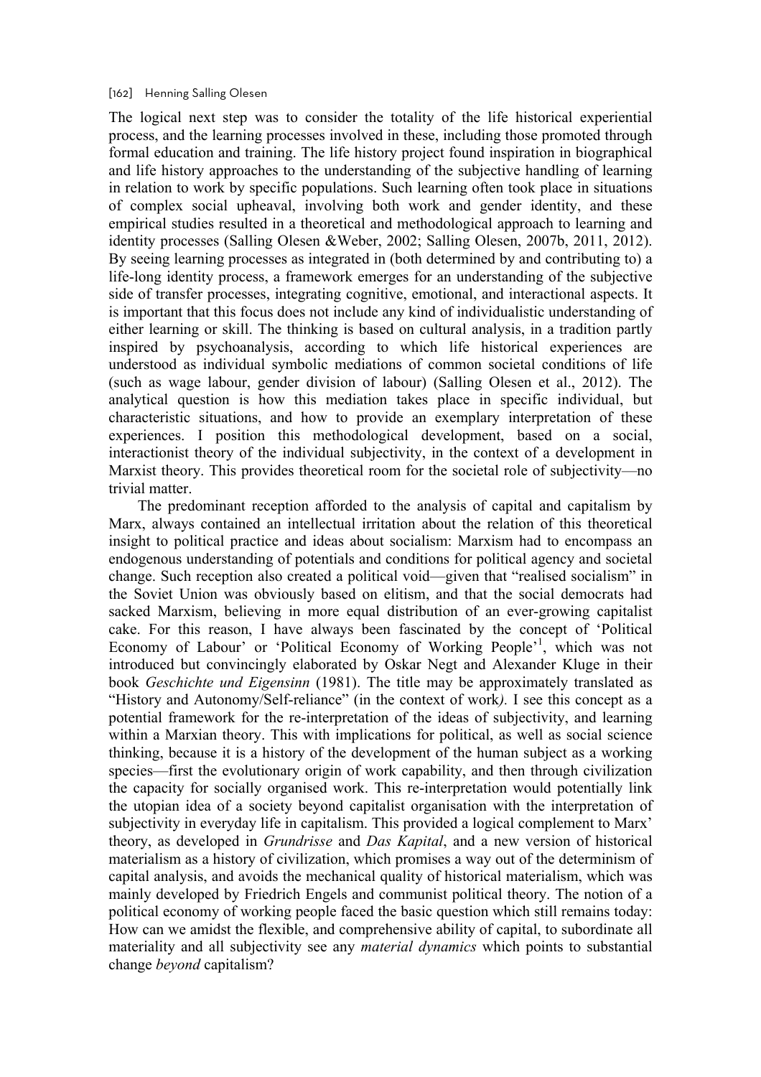#### [162] Henning Salling Olesen

The logical next step was to consider the totality of the life historical experiential process, and the learning processes involved in these, including those promoted through formal education and training. The life history project found inspiration in biographical and life history approaches to the understanding of the subjective handling of learning in relation to work by specific populations. Such learning often took place in situations of complex social upheaval, involving both work and gender identity, and these empirical studies resulted in a theoretical and methodological approach to learning and identity processes (Salling Olesen &Weber, 2002; Salling Olesen, 2007b, 2011, 2012). By seeing learning processes as integrated in (both determined by and contributing to) a life-long identity process, a framework emerges for an understanding of the subjective side of transfer processes, integrating cognitive, emotional, and interactional aspects. It is important that this focus does not include any kind of individualistic understanding of either learning or skill. The thinking is based on cultural analysis, in a tradition partly inspired by psychoanalysis, according to which life historical experiences are understood as individual symbolic mediations of common societal conditions of life (such as wage labour, gender division of labour) (Salling Olesen et al., 2012). The analytical question is how this mediation takes place in specific individual, but characteristic situations, and how to provide an exemplary interpretation of these experiences. I position this methodological development, based on a social, interactionist theory of the individual subjectivity, in the context of a development in Marxist theory. This provides theoretical room for the societal role of subjectivity—no trivial matter.

The predominant reception afforded to the analysis of capital and capitalism by Marx, always contained an intellectual irritation about the relation of this theoretical insight to political practice and ideas about socialism: Marxism had to encompass an endogenous understanding of potentials and conditions for political agency and societal change. Such reception also created a political void—given that "realised socialism" in the Soviet Union was obviously based on elitism, and that the social democrats had sacked Marxism, believing in more equal distribution of an ever-growing capitalist cake. For this reason, I have always been fascinated by the concept of 'Political Economy of Labour' or 'Political Economy of Working People<sup>'1</sup>, which was not introduced but convincingly elaborated by Oskar Negt and Alexander Kluge in their book *Geschichte und Eigensinn* (1981). The title may be approximately translated as "History and Autonomy/Self-reliance" (in the context of work*).* I see this concept as a potential framework for the re-interpretation of the ideas of subjectivity, and learning within a Marxian theory. This with implications for political, as well as social science thinking, because it is a history of the development of the human subject as a working species—first the evolutionary origin of work capability, and then through civilization the capacity for socially organised work. This re-interpretation would potentially link the utopian idea of a society beyond capitalist organisation with the interpretation of subjectivity in everyday life in capitalism. This provided a logical complement to Marx' theory, as developed in *Grundrisse* and *Das Kapital*, and a new version of historical materialism as a history of civilization, which promises a way out of the determinism of capital analysis, and avoids the mechanical quality of historical materialism, which was mainly developed by Friedrich Engels and communist political theory. The notion of a political economy of working people faced the basic question which still remains today: How can we amidst the flexible, and comprehensive ability of capital, to subordinate all materiality and all subjectivity see any *material dynamics* which points to substantial change *beyond* capitalism?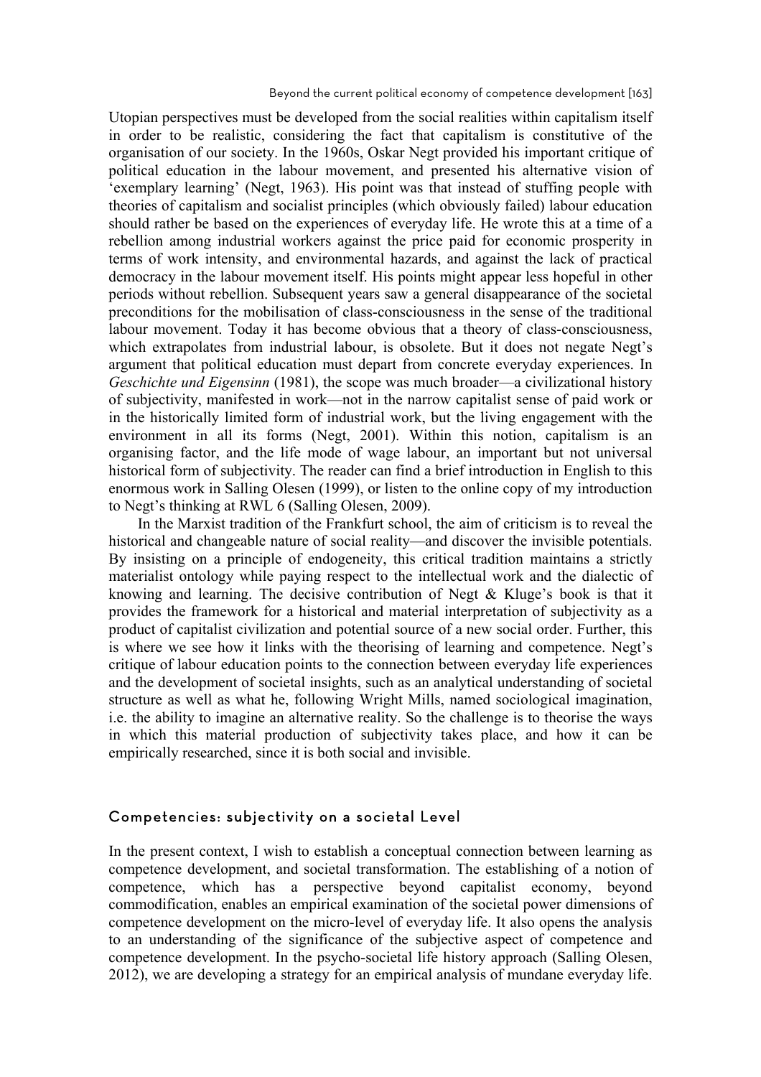Beyond the current political economy of competence development [163]

Utopian perspectives must be developed from the social realities within capitalism itself in order to be realistic, considering the fact that capitalism is constitutive of the organisation of our society. In the 1960s, Oskar Negt provided his important critique of political education in the labour movement, and presented his alternative vision of 'exemplary learning' (Negt, 1963). His point was that instead of stuffing people with theories of capitalism and socialist principles (which obviously failed) labour education should rather be based on the experiences of everyday life. He wrote this at a time of a rebellion among industrial workers against the price paid for economic prosperity in terms of work intensity, and environmental hazards, and against the lack of practical democracy in the labour movement itself. His points might appear less hopeful in other periods without rebellion. Subsequent years saw a general disappearance of the societal preconditions for the mobilisation of class-consciousness in the sense of the traditional labour movement. Today it has become obvious that a theory of class-consciousness, which extrapolates from industrial labour, is obsolete. But it does not negate Negt's argument that political education must depart from concrete everyday experiences. In *Geschichte und Eigensinn* (1981), the scope was much broader—a civilizational history of subjectivity, manifested in work—not in the narrow capitalist sense of paid work or in the historically limited form of industrial work, but the living engagement with the environment in all its forms (Negt, 2001). Within this notion, capitalism is an organising factor, and the life mode of wage labour, an important but not universal historical form of subjectivity. The reader can find a brief introduction in English to this enormous work in Salling Olesen (1999), or listen to the online copy of my introduction to Negt's thinking at RWL 6 (Salling Olesen, 2009).

In the Marxist tradition of the Frankfurt school, the aim of criticism is to reveal the historical and changeable nature of social reality—and discover the invisible potentials. By insisting on a principle of endogeneity, this critical tradition maintains a strictly materialist ontology while paying respect to the intellectual work and the dialectic of knowing and learning. The decisive contribution of Negt & Kluge's book is that it provides the framework for a historical and material interpretation of subjectivity as a product of capitalist civilization and potential source of a new social order. Further, this is where we see how it links with the theorising of learning and competence. Negt's critique of labour education points to the connection between everyday life experiences and the development of societal insights, such as an analytical understanding of societal structure as well as what he, following Wright Mills, named sociological imagination, i.e. the ability to imagine an alternative reality. So the challenge is to theorise the ways in which this material production of subjectivity takes place, and how it can be empirically researched, since it is both social and invisible.

### Competencies: subjectivity on a societal Level

In the present context, I wish to establish a conceptual connection between learning as competence development, and societal transformation. The establishing of a notion of competence, which has a perspective beyond capitalist economy, beyond commodification, enables an empirical examination of the societal power dimensions of competence development on the micro-level of everyday life. It also opens the analysis to an understanding of the significance of the subjective aspect of competence and competence development. In the psycho-societal life history approach (Salling Olesen, 2012), we are developing a strategy for an empirical analysis of mundane everyday life.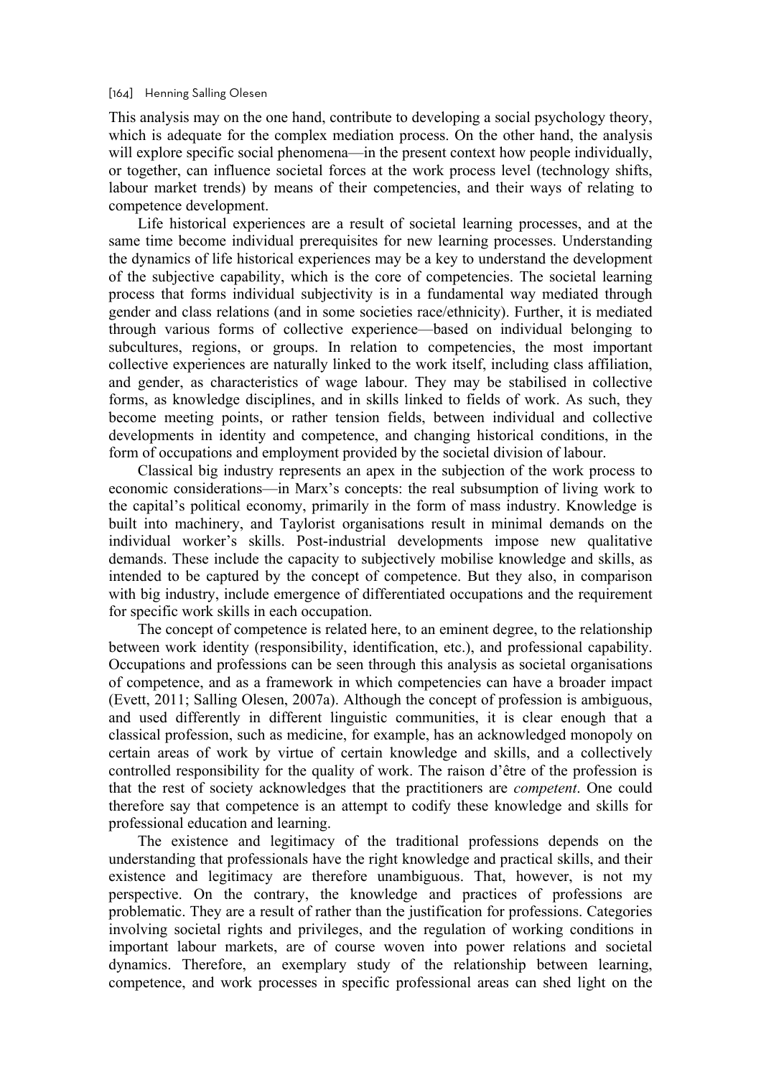#### [164] Henning Salling Olesen

This analysis may on the one hand, contribute to developing a social psychology theory, which is adequate for the complex mediation process. On the other hand, the analysis will explore specific social phenomena—in the present context how people individually, or together, can influence societal forces at the work process level (technology shifts, labour market trends) by means of their competencies, and their ways of relating to competence development.

Life historical experiences are a result of societal learning processes, and at the same time become individual prerequisites for new learning processes. Understanding the dynamics of life historical experiences may be a key to understand the development of the subjective capability, which is the core of competencies. The societal learning process that forms individual subjectivity is in a fundamental way mediated through gender and class relations (and in some societies race/ethnicity). Further, it is mediated through various forms of collective experience—based on individual belonging to subcultures, regions, or groups. In relation to competencies, the most important collective experiences are naturally linked to the work itself, including class affiliation, and gender, as characteristics of wage labour. They may be stabilised in collective forms, as knowledge disciplines, and in skills linked to fields of work. As such, they become meeting points, or rather tension fields, between individual and collective developments in identity and competence, and changing historical conditions, in the form of occupations and employment provided by the societal division of labour.

Classical big industry represents an apex in the subjection of the work process to economic considerations—in Marx's concepts: the real subsumption of living work to the capital's political economy, primarily in the form of mass industry. Knowledge is built into machinery, and Taylorist organisations result in minimal demands on the individual worker's skills. Post-industrial developments impose new qualitative demands. These include the capacity to subjectively mobilise knowledge and skills, as intended to be captured by the concept of competence. But they also, in comparison with big industry, include emergence of differentiated occupations and the requirement for specific work skills in each occupation.

The concept of competence is related here, to an eminent degree, to the relationship between work identity (responsibility, identification, etc.), and professional capability. Occupations and professions can be seen through this analysis as societal organisations of competence, and as a framework in which competencies can have a broader impact (Evett, 2011; Salling Olesen, 2007a). Although the concept of profession is ambiguous, and used differently in different linguistic communities, it is clear enough that a classical profession, such as medicine, for example, has an acknowledged monopoly on certain areas of work by virtue of certain knowledge and skills, and a collectively controlled responsibility for the quality of work. The raison d'être of the profession is that the rest of society acknowledges that the practitioners are *competent*. One could therefore say that competence is an attempt to codify these knowledge and skills for professional education and learning.

The existence and legitimacy of the traditional professions depends on the understanding that professionals have the right knowledge and practical skills, and their existence and legitimacy are therefore unambiguous. That, however, is not my perspective. On the contrary, the knowledge and practices of professions are problematic. They are a result of rather than the justification for professions. Categories involving societal rights and privileges, and the regulation of working conditions in important labour markets, are of course woven into power relations and societal dynamics. Therefore, an exemplary study of the relationship between learning, competence, and work processes in specific professional areas can shed light on the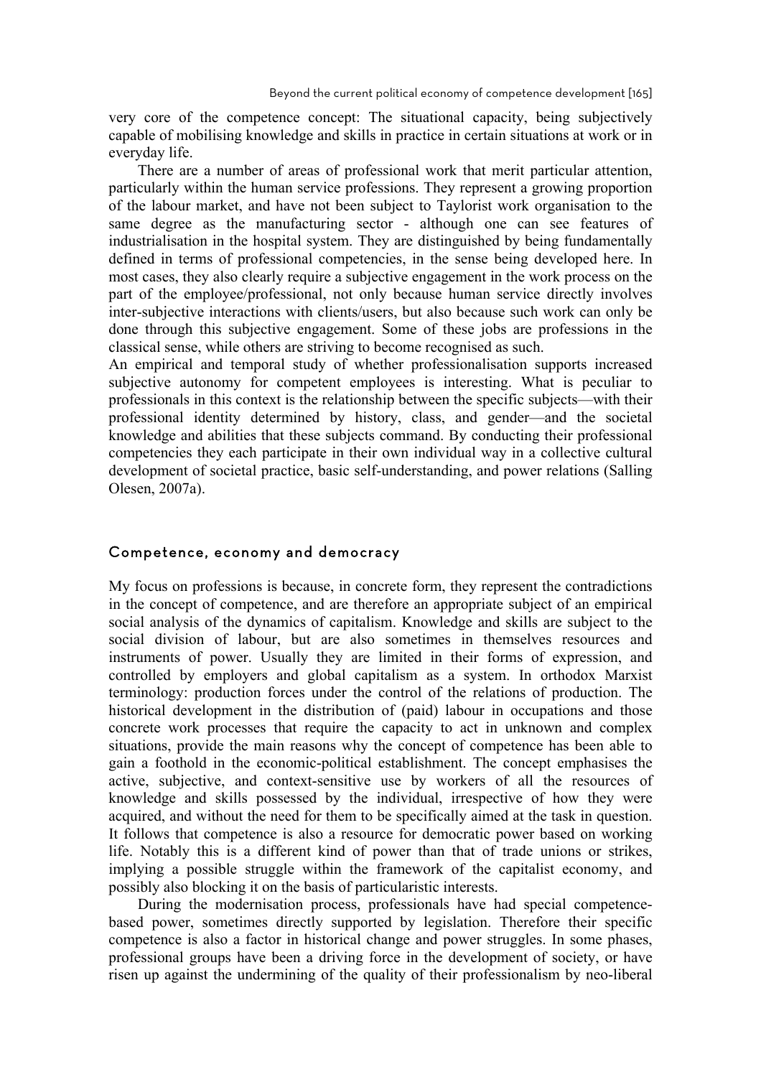very core of the competence concept: The situational capacity, being subjectively capable of mobilising knowledge and skills in practice in certain situations at work or in everyday life.

There are a number of areas of professional work that merit particular attention, particularly within the human service professions. They represent a growing proportion of the labour market, and have not been subject to Taylorist work organisation to the same degree as the manufacturing sector - although one can see features of industrialisation in the hospital system. They are distinguished by being fundamentally defined in terms of professional competencies, in the sense being developed here. In most cases, they also clearly require a subjective engagement in the work process on the part of the employee/professional, not only because human service directly involves inter-subjective interactions with clients/users, but also because such work can only be done through this subjective engagement. Some of these jobs are professions in the classical sense, while others are striving to become recognised as such.

An empirical and temporal study of whether professionalisation supports increased subjective autonomy for competent employees is interesting. What is peculiar to professionals in this context is the relationship between the specific subjects—with their professional identity determined by history, class, and gender—and the societal knowledge and abilities that these subjects command. By conducting their professional competencies they each participate in their own individual way in a collective cultural development of societal practice, basic self-understanding, and power relations (Salling Olesen, 2007a).

### Competence, economy and democracy

My focus on professions is because, in concrete form, they represent the contradictions in the concept of competence, and are therefore an appropriate subject of an empirical social analysis of the dynamics of capitalism. Knowledge and skills are subject to the social division of labour, but are also sometimes in themselves resources and instruments of power. Usually they are limited in their forms of expression, and controlled by employers and global capitalism as a system. In orthodox Marxist terminology: production forces under the control of the relations of production. The historical development in the distribution of (paid) labour in occupations and those concrete work processes that require the capacity to act in unknown and complex situations, provide the main reasons why the concept of competence has been able to gain a foothold in the economic-political establishment. The concept emphasises the active, subjective, and context-sensitive use by workers of all the resources of knowledge and skills possessed by the individual, irrespective of how they were acquired, and without the need for them to be specifically aimed at the task in question. It follows that competence is also a resource for democratic power based on working life. Notably this is a different kind of power than that of trade unions or strikes, implying a possible struggle within the framework of the capitalist economy, and possibly also blocking it on the basis of particularistic interests.

During the modernisation process, professionals have had special competencebased power, sometimes directly supported by legislation. Therefore their specific competence is also a factor in historical change and power struggles. In some phases, professional groups have been a driving force in the development of society, or have risen up against the undermining of the quality of their professionalism by neo-liberal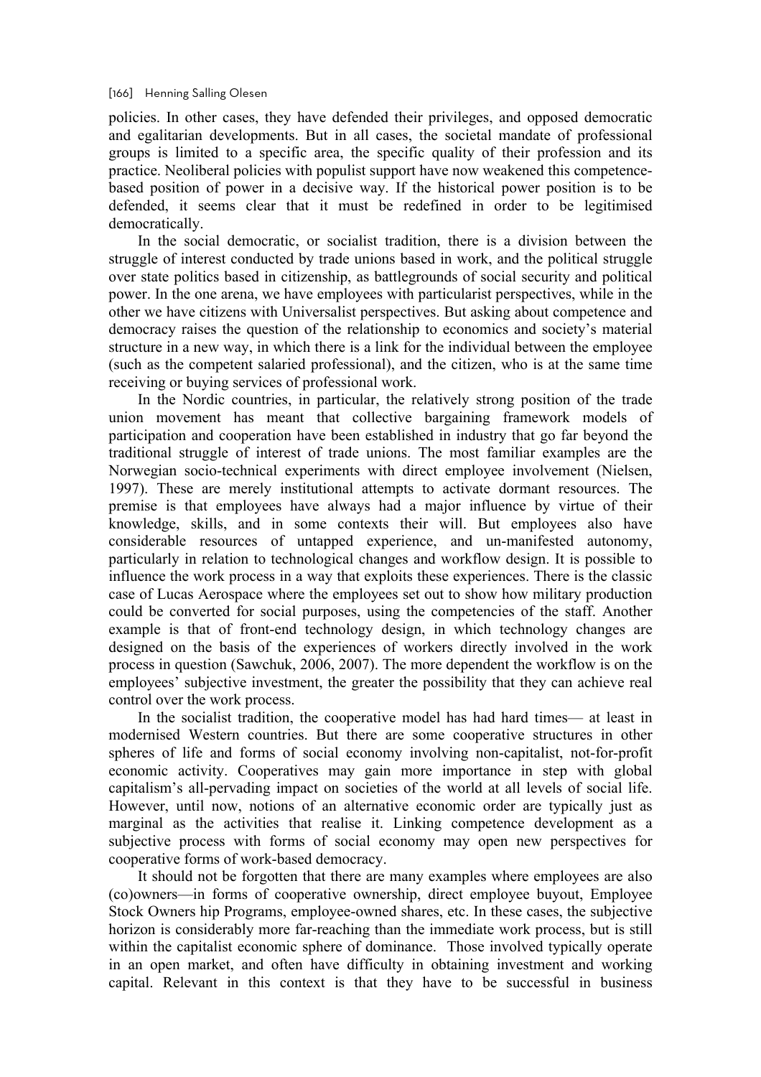#### [166] Henning Salling Olesen

policies. In other cases, they have defended their privileges, and opposed democratic and egalitarian developments. But in all cases, the societal mandate of professional groups is limited to a specific area, the specific quality of their profession and its practice. Neoliberal policies with populist support have now weakened this competencebased position of power in a decisive way. If the historical power position is to be defended, it seems clear that it must be redefined in order to be legitimised democratically.

In the social democratic, or socialist tradition, there is a division between the struggle of interest conducted by trade unions based in work, and the political struggle over state politics based in citizenship, as battlegrounds of social security and political power. In the one arena, we have employees with particularist perspectives, while in the other we have citizens with Universalist perspectives. But asking about competence and democracy raises the question of the relationship to economics and society's material structure in a new way, in which there is a link for the individual between the employee (such as the competent salaried professional), and the citizen, who is at the same time receiving or buying services of professional work.

In the Nordic countries, in particular, the relatively strong position of the trade union movement has meant that collective bargaining framework models of participation and cooperation have been established in industry that go far beyond the traditional struggle of interest of trade unions. The most familiar examples are the Norwegian socio-technical experiments with direct employee involvement (Nielsen, 1997). These are merely institutional attempts to activate dormant resources. The premise is that employees have always had a major influence by virtue of their knowledge, skills, and in some contexts their will. But employees also have considerable resources of untapped experience, and un-manifested autonomy, particularly in relation to technological changes and workflow design. It is possible to influence the work process in a way that exploits these experiences. There is the classic case of Lucas Aerospace where the employees set out to show how military production could be converted for social purposes, using the competencies of the staff. Another example is that of front-end technology design, in which technology changes are designed on the basis of the experiences of workers directly involved in the work process in question (Sawchuk, 2006, 2007). The more dependent the workflow is on the employees' subjective investment, the greater the possibility that they can achieve real control over the work process.

In the socialist tradition, the cooperative model has had hard times— at least in modernised Western countries. But there are some cooperative structures in other spheres of life and forms of social economy involving non-capitalist, not-for-profit economic activity. Cooperatives may gain more importance in step with global capitalism's all-pervading impact on societies of the world at all levels of social life. However, until now, notions of an alternative economic order are typically just as marginal as the activities that realise it. Linking competence development as a subjective process with forms of social economy may open new perspectives for cooperative forms of work-based democracy.

It should not be forgotten that there are many examples where employees are also (co)owners—in forms of cooperative ownership, direct employee buyout, Employee Stock Owners hip Programs, employee-owned shares, etc. In these cases, the subjective horizon is considerably more far-reaching than the immediate work process, but is still within the capitalist economic sphere of dominance. Those involved typically operate in an open market, and often have difficulty in obtaining investment and working capital. Relevant in this context is that they have to be successful in business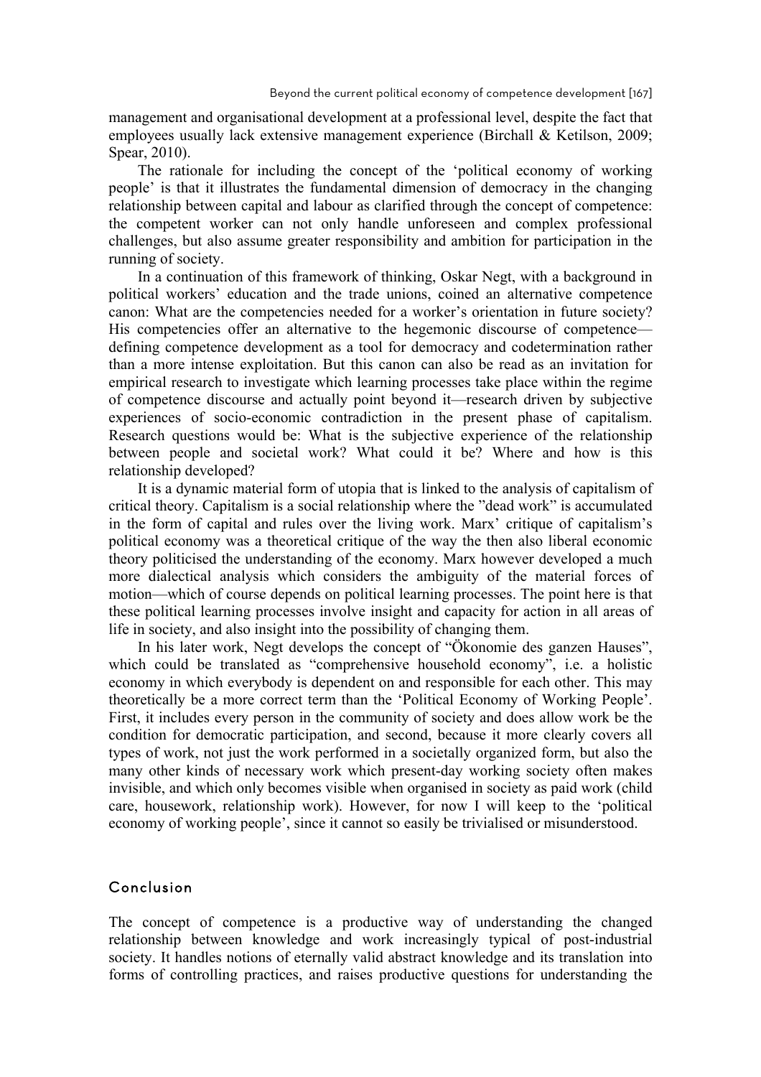management and organisational development at a professional level, despite the fact that employees usually lack extensive management experience (Birchall & Ketilson, 2009; Spear, 2010).

The rationale for including the concept of the 'political economy of working people' is that it illustrates the fundamental dimension of democracy in the changing relationship between capital and labour as clarified through the concept of competence: the competent worker can not only handle unforeseen and complex professional challenges, but also assume greater responsibility and ambition for participation in the running of society.

In a continuation of this framework of thinking, Oskar Negt, with a background in political workers' education and the trade unions, coined an alternative competence canon: What are the competencies needed for a worker's orientation in future society? His competencies offer an alternative to the hegemonic discourse of competence defining competence development as a tool for democracy and codetermination rather than a more intense exploitation. But this canon can also be read as an invitation for empirical research to investigate which learning processes take place within the regime of competence discourse and actually point beyond it—research driven by subjective experiences of socio-economic contradiction in the present phase of capitalism. Research questions would be: What is the subjective experience of the relationship between people and societal work? What could it be? Where and how is this relationship developed?

It is a dynamic material form of utopia that is linked to the analysis of capitalism of critical theory. Capitalism is a social relationship where the "dead work" is accumulated in the form of capital and rules over the living work. Marx' critique of capitalism's political economy was a theoretical critique of the way the then also liberal economic theory politicised the understanding of the economy. Marx however developed a much more dialectical analysis which considers the ambiguity of the material forces of motion—which of course depends on political learning processes. The point here is that these political learning processes involve insight and capacity for action in all areas of life in society, and also insight into the possibility of changing them.

In his later work, Negt develops the concept of "Ökonomie des ganzen Hauses", which could be translated as "comprehensive household economy", i.e. a holistic economy in which everybody is dependent on and responsible for each other. This may theoretically be a more correct term than the 'Political Economy of Working People'. First, it includes every person in the community of society and does allow work be the condition for democratic participation, and second, because it more clearly covers all types of work, not just the work performed in a societally organized form, but also the many other kinds of necessary work which present-day working society often makes invisible, and which only becomes visible when organised in society as paid work (child care, housework, relationship work). However, for now I will keep to the 'political economy of working people', since it cannot so easily be trivialised or misunderstood.

### Conclusion

The concept of competence is a productive way of understanding the changed relationship between knowledge and work increasingly typical of post-industrial society. It handles notions of eternally valid abstract knowledge and its translation into forms of controlling practices, and raises productive questions for understanding the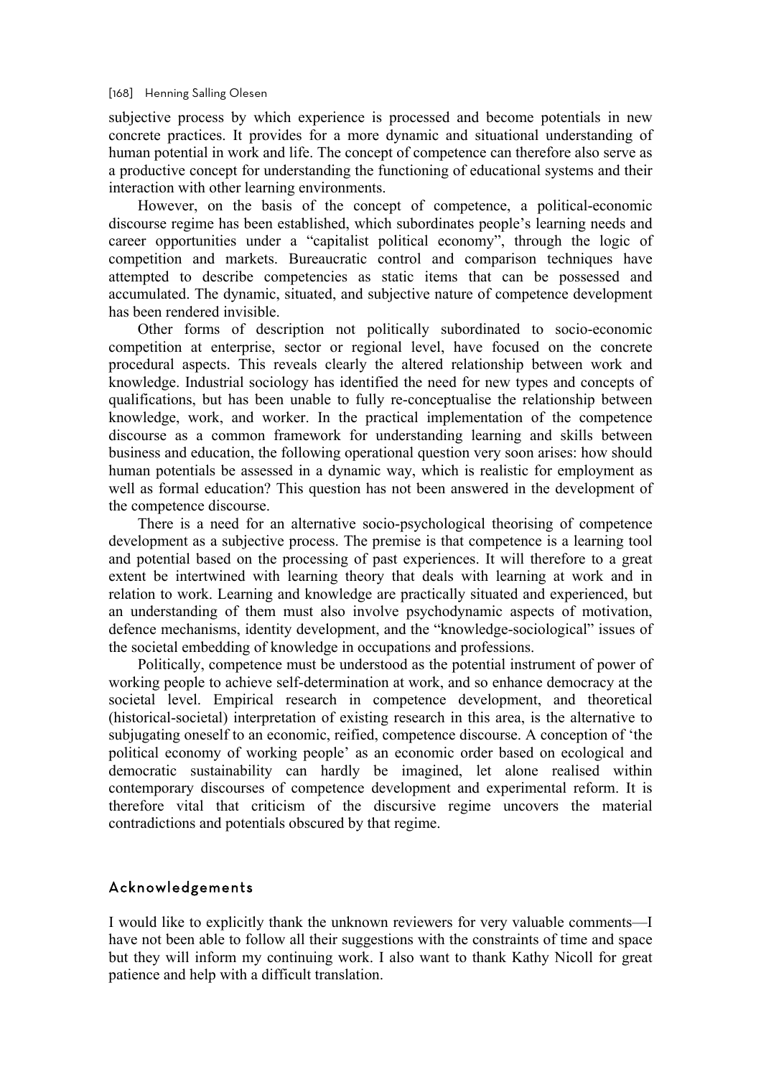subjective process by which experience is processed and become potentials in new concrete practices. It provides for a more dynamic and situational understanding of human potential in work and life. The concept of competence can therefore also serve as a productive concept for understanding the functioning of educational systems and their interaction with other learning environments.

However, on the basis of the concept of competence, a political-economic discourse regime has been established, which subordinates people's learning needs and career opportunities under a "capitalist political economy", through the logic of competition and markets. Bureaucratic control and comparison techniques have attempted to describe competencies as static items that can be possessed and accumulated. The dynamic, situated, and subjective nature of competence development has been rendered invisible.

Other forms of description not politically subordinated to socio-economic competition at enterprise, sector or regional level, have focused on the concrete procedural aspects. This reveals clearly the altered relationship between work and knowledge. Industrial sociology has identified the need for new types and concepts of qualifications, but has been unable to fully re-conceptualise the relationship between knowledge, work, and worker. In the practical implementation of the competence discourse as a common framework for understanding learning and skills between business and education, the following operational question very soon arises: how should human potentials be assessed in a dynamic way, which is realistic for employment as well as formal education? This question has not been answered in the development of the competence discourse.

There is a need for an alternative socio-psychological theorising of competence development as a subjective process. The premise is that competence is a learning tool and potential based on the processing of past experiences. It will therefore to a great extent be intertwined with learning theory that deals with learning at work and in relation to work. Learning and knowledge are practically situated and experienced, but an understanding of them must also involve psychodynamic aspects of motivation, defence mechanisms, identity development, and the "knowledge-sociological" issues of the societal embedding of knowledge in occupations and professions.

Politically, competence must be understood as the potential instrument of power of working people to achieve self-determination at work, and so enhance democracy at the societal level. Empirical research in competence development, and theoretical (historical-societal) interpretation of existing research in this area, is the alternative to subjugating oneself to an economic, reified, competence discourse. A conception of 'the political economy of working people' as an economic order based on ecological and democratic sustainability can hardly be imagined, let alone realised within contemporary discourses of competence development and experimental reform. It is therefore vital that criticism of the discursive regime uncovers the material contradictions and potentials obscured by that regime.

### Acknowledgements

I would like to explicitly thank the unknown reviewers for very valuable comments—I have not been able to follow all their suggestions with the constraints of time and space but they will inform my continuing work. I also want to thank Kathy Nicoll for great patience and help with a difficult translation.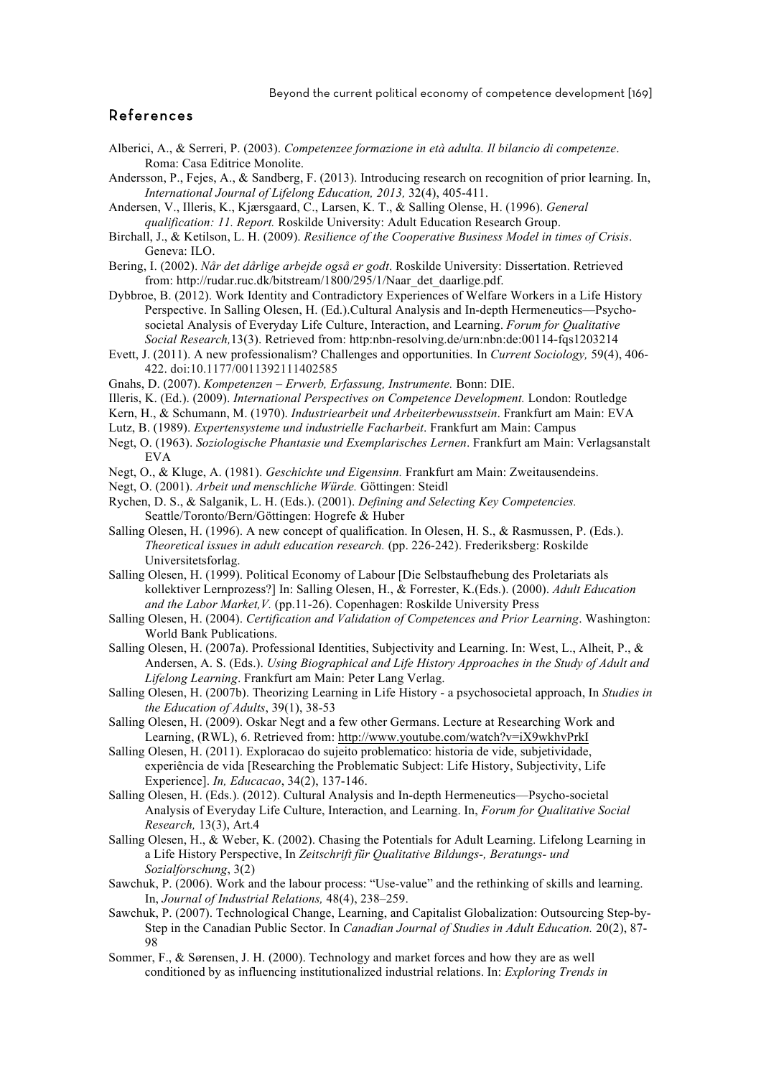Beyond the current political economy of competence development [169]

## References

- Alberici, A., & Serreri, P. (2003). *Competenzee formazione in età adulta. Il bilancio di competenze*. Roma: Casa Editrice Monolite.
- Andersson, P., Fejes, A., & Sandberg, F. (2013). Introducing research on recognition of prior learning. In, *International Journal of Lifelong Education, 2013,* 32(4), 405-411.
- Andersen, V., Illeris, K., Kjærsgaard, C., Larsen, K. T., & Salling Olense, H. (1996). *General qualification: 11. Report.* Roskilde University: Adult Education Research Group.
- Birchall, J., & Ketilson, L. H. (2009). *Resilience of the Cooperative Business Model in times of Crisis*. Geneva: ILO.
- Bering, I. (2002). *Når det dårlige arbejde også er godt*. Roskilde University: Dissertation. Retrieved from: http://rudar.ruc.dk/bitstream/1800/295/1/Naar\_det\_daarlige.pdf.
- Dybbroe, B. (2012). Work Identity and Contradictory Experiences of Welfare Workers in a Life History Perspective. In Salling Olesen, H. (Ed.).Cultural Analysis and In-depth Hermeneutics—Psychosocietal Analysis of Everyday Life Culture, Interaction, and Learning. *Forum for Qualitative Social Research,*13(3). Retrieved from: http:nbn-resolving.de/urn:nbn:de:00114-fqs1203214
- Evett, J. (2011). A new professionalism? Challenges and opportunities. In *Current Sociology,* 59(4), 406- 422. doi:10.1177/0011392111402585
- Gnahs, D. (2007). *Kompetenzen – Erwerb, Erfassung, Instrumente.* Bonn: DIE.
- Illeris, K. (Ed.). (2009). *International Perspectives on Competence Development.* London: Routledge
- Kern, H., & Schumann, M. (1970). *Industriearbeit und Arbeiterbewusstsein*. Frankfurt am Main: EVA
- Lutz, B. (1989). *Expertensysteme und industrielle Facharbeit*. Frankfurt am Main: Campus
- Negt, O. (1963). *Soziologische Phantasie und Exemplarisches Lernen*. Frankfurt am Main: Verlagsanstalt EVA
- Negt, O., & Kluge, A. (1981). *Geschichte und Eigensinn.* Frankfurt am Main: Zweitausendeins.
- Negt, O. (2001). *Arbeit und menschliche Würde.* Göttingen: Steidl
- Rychen, D. S., & Salganik, L. H. (Eds.). (2001). *Defining and Selecting Key Competencies.*  Seattle/Toronto/Bern/Göttingen: Hogrefe & Huber
- Salling Olesen, H. (1996). A new concept of qualification. In Olesen, H. S., & Rasmussen, P. (Eds.). *Theoretical issues in adult education research.* (pp. 226-242). Frederiksberg: Roskilde Universitetsforlag.
- Salling Olesen, H. (1999). Political Economy of Labour [Die Selbstaufhebung des Proletariats als kollektiver Lernprozess?] In: Salling Olesen, H., & Forrester, K.(Eds.). (2000). *Adult Education and the Labor Market,V.* (pp.11-26). Copenhagen: Roskilde University Press
- Salling Olesen, H. (2004). *Certification and Validation of Competences and Prior Learning*. Washington: World Bank Publications.
- Salling Olesen, H. (2007a). Professional Identities, Subjectivity and Learning. In: West, L., Alheit, P., & Andersen, A. S. (Eds.). *Using Biographical and Life History Approaches in the Study of Adult and Lifelong Learning*. Frankfurt am Main: Peter Lang Verlag.
- Salling Olesen, H. (2007b). Theorizing Learning in Life History a psychosocietal approach, In *Studies in the Education of Adults*, 39(1), 38-53
- Salling Olesen, H. (2009). Oskar Negt and a few other Germans. Lecture at Researching Work and Learning, (RWL), 6. Retrieved from: http://www.youtube.com/watch?v=iX9wkhvPrkI
- Salling Olesen, H. (2011). Exploracao do sujeito problematico: historia de vide, subjetividade, experiência de vida [Researching the Problematic Subject: Life History, Subjectivity, Life Experience]. *In, Educacao*, 34(2), 137-146.
- Salling Olesen, H. (Eds.). (2012). Cultural Analysis and In-depth Hermeneutics—Psycho-societal Analysis of Everyday Life Culture, Interaction, and Learning. In, *Forum for Qualitative Social Research,* 13(3), Art.4
- Salling Olesen, H., & Weber, K. (2002). Chasing the Potentials for Adult Learning. Lifelong Learning in a Life History Perspective, In *Zeitschrift für Qualitative Bildungs-, Beratungs- und Sozialforschung*, 3(2)
- Sawchuk, P. (2006). Work and the labour process: "Use-value" and the rethinking of skills and learning. In, *Journal of Industrial Relations,* 48(4), 238–259.
- Sawchuk, P. (2007). Technological Change, Learning, and Capitalist Globalization: Outsourcing Step-by-Step in the Canadian Public Sector. In *Canadian Journal of Studies in Adult Education.* 20(2), 87- 98
- Sommer, F., & Sørensen, J. H. (2000). Technology and market forces and how they are as well conditioned by as influencing institutionalized industrial relations. In: *Exploring Trends in*